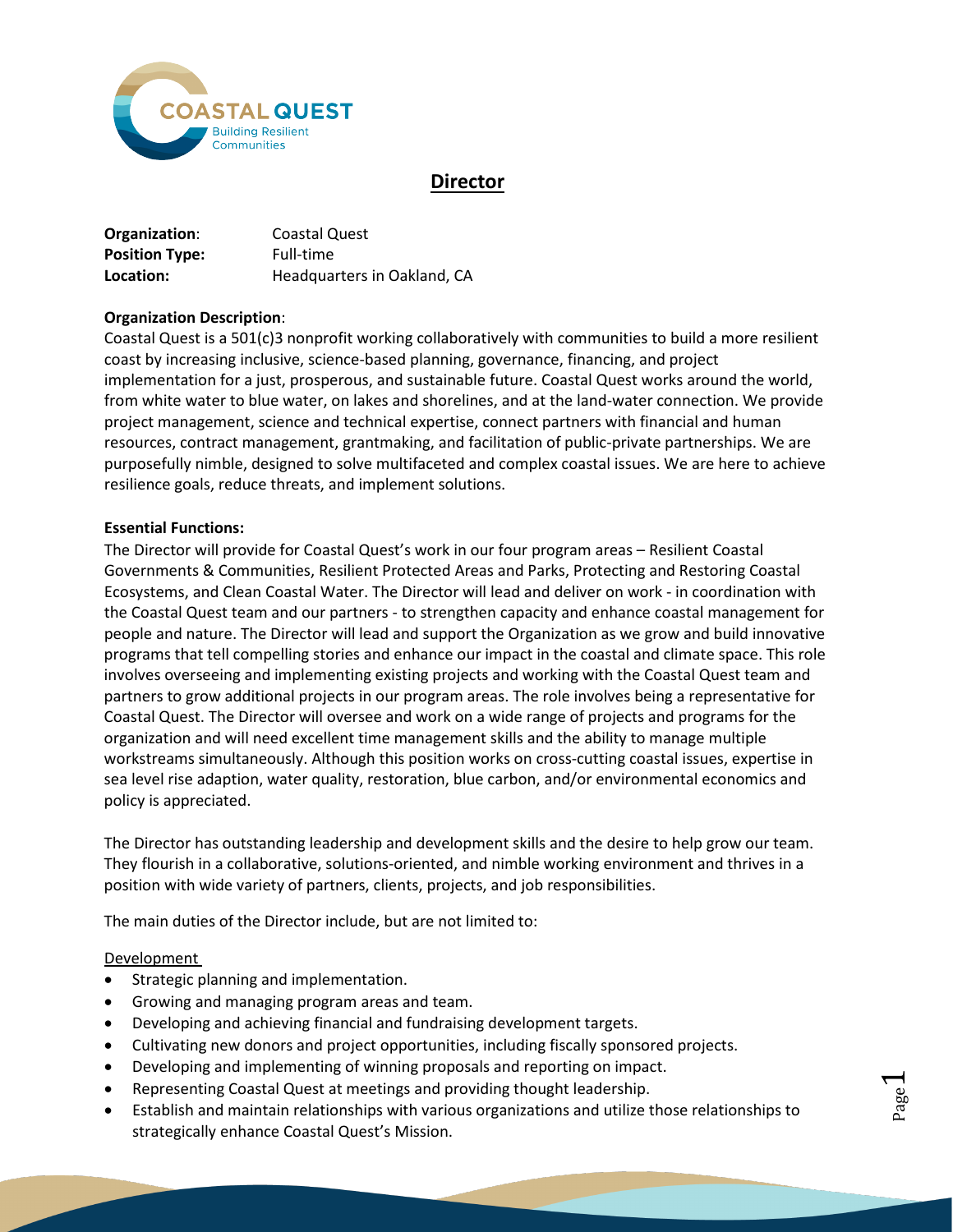

# **Director**

| Organization:         | Coastal Quest               |
|-----------------------|-----------------------------|
| <b>Position Type:</b> | Full-time                   |
| Location:             | Headquarters in Oakland, CA |

## **Organization Description**:

Coastal Quest is a 501(c)3 nonprofit working collaboratively with communities to build a more resilient coast by increasing inclusive, science-based planning, governance, financing, and project implementation for a just, prosperous, and sustainable future. Coastal Quest works around the world, from white water to blue water, on lakes and shorelines, and at the land-water connection. We provide project management, science and technical expertise, connect partners with financial and human resources, contract management, grantmaking, and facilitation of public-private partnerships. We are purposefully nimble, designed to solve multifaceted and complex coastal issues. We are here to achieve resilience goals, reduce threats, and implement solutions.

## **Essential Functions:**

The Director will provide for Coastal Quest's work in our four program areas – Resilient Coastal Governments & Communities, Resilient Protected Areas and Parks, Protecting and Restoring Coastal Ecosystems, and Clean Coastal Water. The Director will lead and deliver on work - in coordination with the Coastal Quest team and our partners - to strengthen capacity and enhance coastal management for people and nature. The Director will lead and support the Organization as we grow and build innovative programs that tell compelling stories and enhance our impact in the coastal and climate space. This role involves overseeing and implementing existing projects and working with the Coastal Quest team and partners to grow additional projects in our program areas. The role involves being a representative for Coastal Quest. The Director will oversee and work on a wide range of projects and programs for the organization and will need excellent time management skills and the ability to manage multiple workstreams simultaneously. Although this position works on cross-cutting coastal issues, expertise in sea level rise adaption, water quality, restoration, blue carbon, and/or environmental economics and policy is appreciated.

The Director has outstanding leadership and development skills and the desire to help grow our team. They flourish in a collaborative, solutions-oriented, and nimble working environment and thrives in a position with wide variety of partners, clients, projects, and job responsibilities.

The main duties of the Director include, but are not limited to:

## Development

- Strategic planning and implementation.
- Growing and managing program areas and team.
- Developing and achieving financial and fundraising development targets.
- Cultivating new donors and project opportunities, including fiscally sponsored projects.
- Developing and implementing of winning proposals and reporting on impact.
- Representing Coastal Quest at meetings and providing thought leadership.
- Establish and maintain relationships with various organizations and utilize those relationships to strategically enhance Coastal Quest's Mission.

Page  $\overline{\phantom{0}}$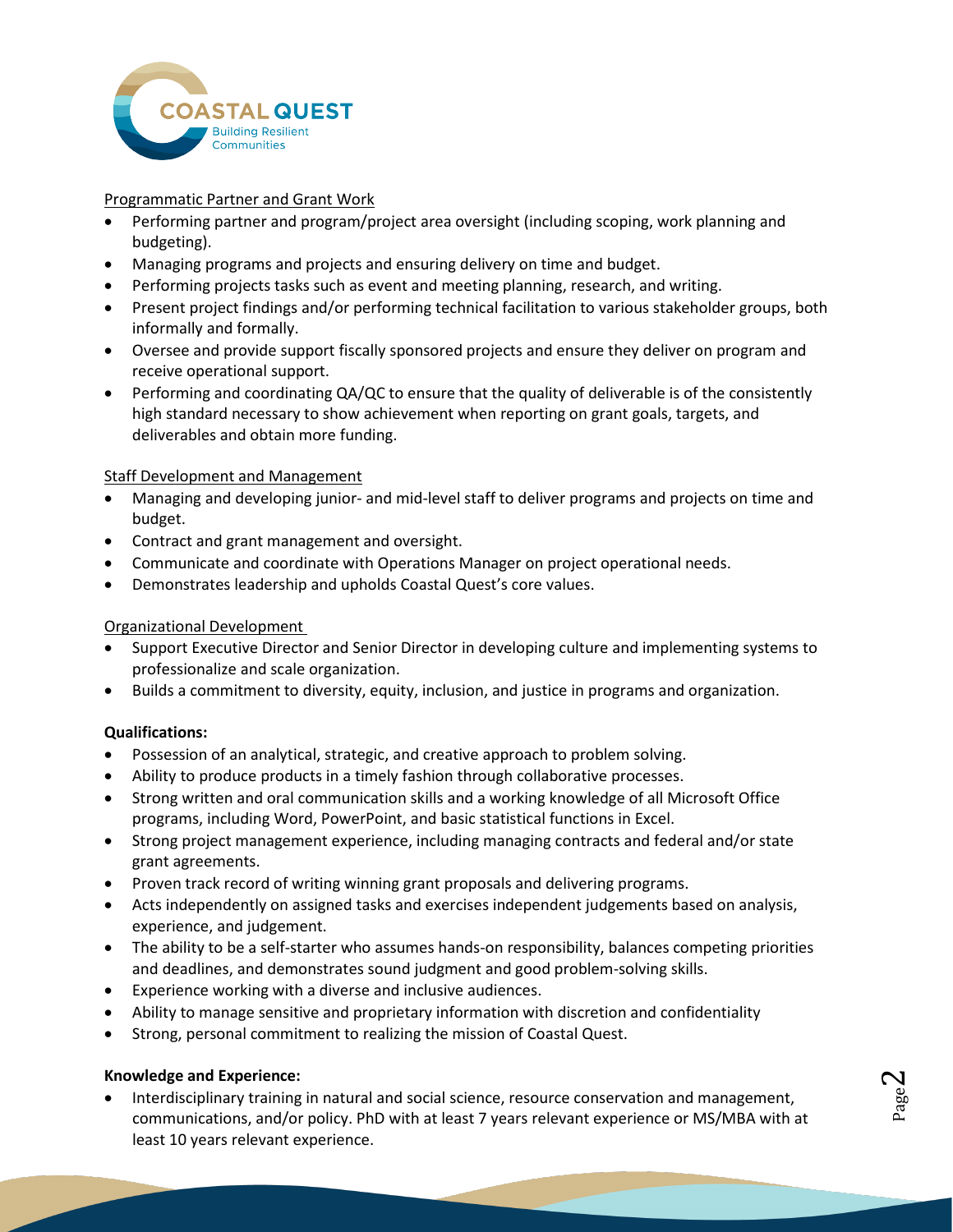

## Programmatic Partner and Grant Work

- Performing partner and program/project area oversight (including scoping, work planning and budgeting).
- Managing programs and projects and ensuring delivery on time and budget.
- Performing projects tasks such as event and meeting planning, research, and writing.
- Present project findings and/or performing technical facilitation to various stakeholder groups, both informally and formally.
- Oversee and provide support fiscally sponsored projects and ensure they deliver on program and receive operational support.
- Performing and coordinating QA/QC to ensure that the quality of deliverable is of the consistently high standard necessary to show achievement when reporting on grant goals, targets, and deliverables and obtain more funding.

## Staff Development and Management

- Managing and developing junior- and mid-level staff to deliver programs and projects on time and budget.
- Contract and grant management and oversight.
- Communicate and coordinate with Operations Manager on project operational needs.
- Demonstrates leadership and upholds Coastal Quest's core values.

## Organizational Development

- Support Executive Director and Senior Director in developing culture and implementing systems to professionalize and scale organization.
- Builds a commitment to diversity, equity, inclusion, and justice in programs and organization.

## **Qualifications:**

- Possession of an analytical, strategic, and creative approach to problem solving.
- Ability to produce products in a timely fashion through collaborative processes.
- Strong written and oral communication skills and a working knowledge of all Microsoft Office programs, including Word, PowerPoint, and basic statistical functions in Excel.
- Strong project management experience, including managing contracts and federal and/or state grant agreements.
- Proven track record of writing winning grant proposals and delivering programs.
- Acts independently on assigned tasks and exercises independent judgements based on analysis, experience, and judgement.
- The ability to be a self-starter who assumes hands-on responsibility, balances competing priorities and deadlines, and demonstrates sound judgment and good problem-solving skills.
- Experience working with a diverse and inclusive audiences.
- Ability to manage sensitive and proprietary information with discretion and confidentiality
- Strong, personal commitment to realizing the mission of Coastal Quest.

## **Knowledge and Experience:**

• Interdisciplinary training in natural and social science, resource conservation and management, communications, and/or policy. PhD with at least 7 years relevant experience or MS/MBA with at least 10 years relevant experience.